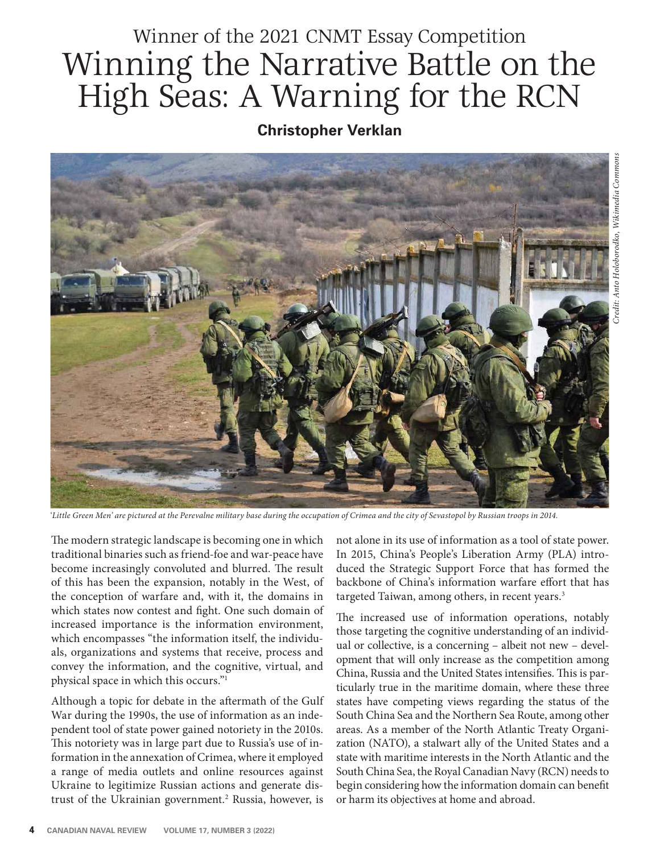# Winner of the 2021 CNMT Essay Competition Winning the Narrative Battle on the High Seas: A Warning for the RCN

## **Christopher Verklan**



'*Little Green Men' are pictured at the Perevalne military base during the occupation of Crimea and the city of Sevastopol by Russian troops in 2014.*

The modern strategic landscape is becoming one in which traditional binaries such as friend-foe and war-peace have become increasingly convoluted and blurred. The result of this has been the expansion, notably in the West, of the conception of warfare and, with it, the domains in which states now contest and fight. One such domain of increased importance is the information environment, which encompasses "the information itself, the individuals, organizations and systems that receive, process and convey the information, and the cognitive, virtual, and physical space in which this occurs."1

Although a topic for debate in the aftermath of the Gulf War during the 1990s, the use of information as an independent tool of state power gained notoriety in the 2010s. This notoriety was in large part due to Russia's use of information in the annexation of Crimea, where it employed a range of media outlets and online resources against Ukraine to legitimize Russian actions and generate distrust of the Ukrainian government.<sup>2</sup> Russia, however, is not alone in its use of information as a tool of state power. In 2015, China's People's Liberation Army (PLA) introduced the Strategic Support Force that has formed the backbone of China's information warfare effort that has targeted Taiwan, among others, in recent years.<sup>3</sup>

The increased use of information operations, notably those targeting the cognitive understanding of an individual or collective, is a concerning – albeit not new – development that will only increase as the competition among China, Russia and the United States intensifies. This is particularly true in the maritime domain, where these three states have competing views regarding the status of the South China Sea and the Northern Sea Route, among other areas. As a member of the North Atlantic Treaty Organization (NATO), a stalwart ally of the United States and a state with maritime interests in the North Atlantic and the South China Sea, the Royal Canadian Navy (RCN) needs to begin considering how the information domain can benefit or harm its objectives at home and abroad.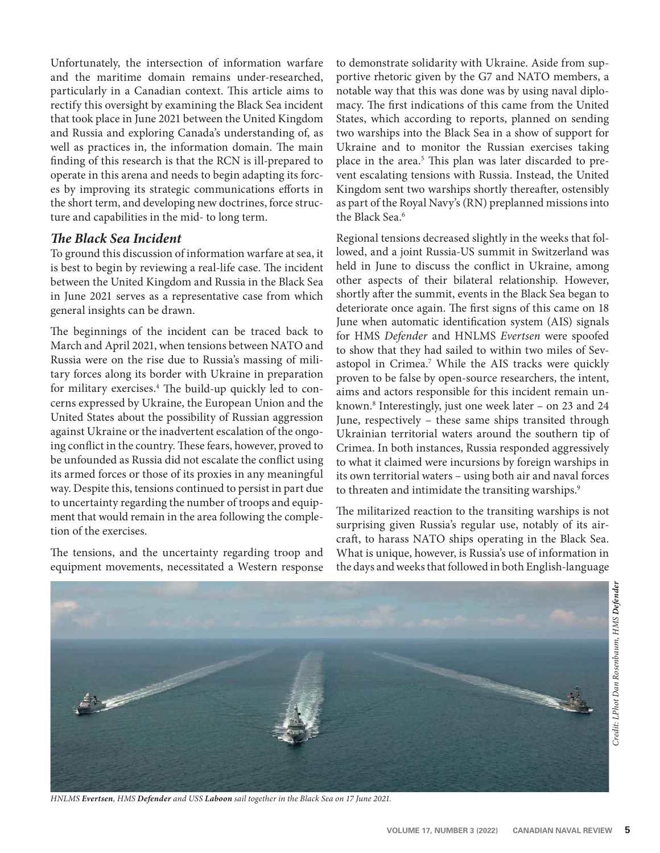Unfortunately, the intersection of information warfare and the maritime domain remains under-researched, particularly in a Canadian context. This article aims to rectify this oversight by examining the Black Sea incident that took place in June 2021 between the United Kingdom and Russia and exploring Canada's understanding of, as well as practices in, the information domain. The main finding of this research is that the RCN is ill-prepared to operate in this arena and needs to begin adapting its forces by improving its strategic communications efforts in the short term, and developing new doctrines, force structure and capabilities in the mid- to long term.

#### *e Black Sea Incident*

To ground this discussion of information warfare at sea, it is best to begin by reviewing a real-life case. The incident between the United Kingdom and Russia in the Black Sea in June 2021 serves as a representative case from which general insights can be drawn.

The beginnings of the incident can be traced back to March and April 2021, when tensions between NATO and Russia were on the rise due to Russia's massing of military forces along its border with Ukraine in preparation for military exercises.<sup>4</sup> The build-up quickly led to concerns expressed by Ukraine, the European Union and the United States about the possibility of Russian aggression against Ukraine or the inadvertent escalation of the ongoing conflict in the country. These fears, however, proved to be unfounded as Russia did not escalate the conflict using its armed forces or those of its proxies in any meaningful way. Despite this, tensions continued to persist in part due to uncertainty regarding the number of troops and equipment that would remain in the area following the completion of the exercises.

The tensions, and the uncertainty regarding troop and equipment movements, necessitated a Western response to demonstrate solidarity with Ukraine. Aside from supportive rhetoric given by the G7 and NATO members, a notable way that this was done was by using naval diplomacy. The first indications of this came from the United States, which according to reports, planned on sending two warships into the Black Sea in a show of support for Ukraine and to monitor the Russian exercises taking place in the area.<sup>5</sup> This plan was later discarded to prevent escalating tensions with Russia. Instead, the United Kingdom sent two warships shortly thereafter, ostensibly as part of the Royal Navy's (RN) preplanned missions into the Black Sea.<sup>6</sup>

Regional tensions decreased slightly in the weeks that followed, and a joint Russia-US summit in Switzerland was held in June to discuss the conflict in Ukraine, among other aspects of their bilateral relationship. However, shortly after the summit, events in the Black Sea began to deteriorate once again. The first signs of this came on 18 June when automatic identification system (AIS) signals for HMS *Defender* and HNLMS *Evertsen* were spoofed to show that they had sailed to within two miles of Sevastopol in Crimea.<sup>7</sup> While the AIS tracks were quickly proven to be false by open-source researchers, the intent, aims and actors responsible for this incident remain unknown.8 Interestingly, just one week later – on 23 and 24 June, respectively – these same ships transited through Ukrainian territorial waters around the southern tip of Crimea. In both instances, Russia responded aggressively to what it claimed were incursions by foreign warships in its own territorial waters – using both air and naval forces to threaten and intimidate the transiting warships.<sup>9</sup>

The militarized reaction to the transiting warships is not surprising given Russia's regular use, notably of its aircraft, to harass NATO ships operating in the Black Sea. What is unique, however, is Russia's use of information in the days and weeks that followed in both English-language



*HNLMS Evertsen, HMS Defender and USS Laboon sail together in the Black Sea on 17 June 2021.*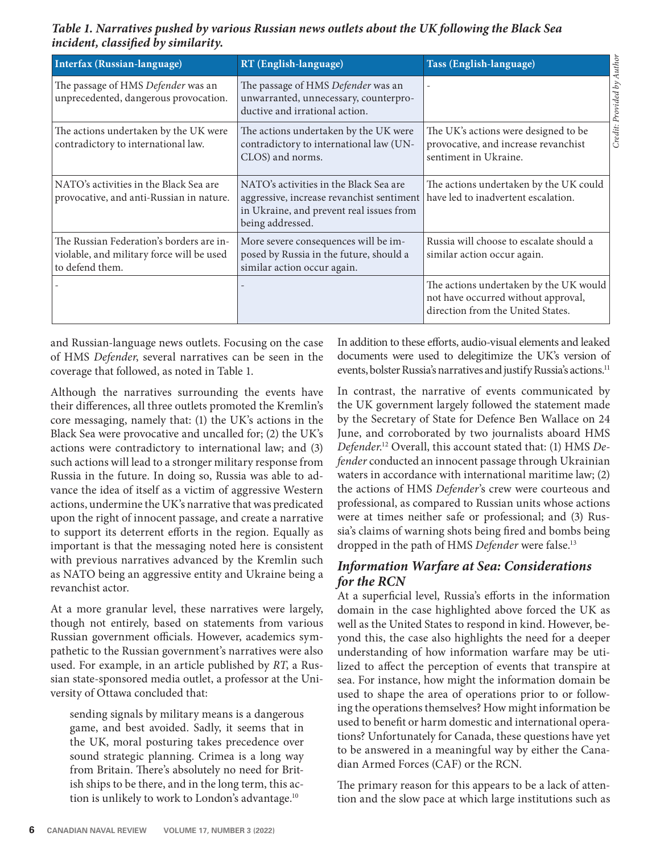*Table 1. Narratives pushed by various Russian news outlets about the UK following the Black Sea incident, classified by similarity.* 

| Interfax (Russian-language)                                                                              | RT (English-language)                                                                                                                                                                     | Tass (English-language)                                                                                            |
|----------------------------------------------------------------------------------------------------------|-------------------------------------------------------------------------------------------------------------------------------------------------------------------------------------------|--------------------------------------------------------------------------------------------------------------------|
| The passage of HMS Defender was an<br>unprecedented, dangerous provocation.                              | The passage of HMS Defender was an<br>unwarranted, unnecessary, counterpro-<br>ductive and irrational action.                                                                             |                                                                                                                    |
| The actions undertaken by the UK were<br>contradictory to international law.                             | The actions undertaken by the UK were<br>contradictory to international law (UN-<br>CLOS) and norms.                                                                                      | The UK's actions were designed to be<br>provocative, and increase revanchist<br>sentiment in Ukraine.              |
| NATO's activities in the Black Sea are<br>provocative, and anti-Russian in nature.                       | NATO's activities in the Black Sea are<br>aggressive, increase revanchist sentiment   have led to inadvertent escalation.<br>in Ukraine, and prevent real issues from<br>being addressed. | The actions undertaken by the UK could                                                                             |
| The Russian Federation's borders are in-<br>violable, and military force will be used<br>to defend them. | More severe consequences will be im-<br>posed by Russia in the future, should a<br>similar action occur again.                                                                            | Russia will choose to escalate should a<br>similar action occur again.                                             |
|                                                                                                          |                                                                                                                                                                                           | The actions undertaken by the UK would<br>not have occurred without approval,<br>direction from the United States. |

and Russian-language news outlets. Focusing on the case of HMS *Defender*, several narratives can be seen in the coverage that followed, as noted in Table 1.

Although the narratives surrounding the events have their differences, all three outlets promoted the Kremlin's core messaging, namely that: (1) the UK's actions in the Black Sea were provocative and uncalled for; (2) the UK's actions were contradictory to international law; and (3) such actions will lead to a stronger military response from Russia in the future. In doing so, Russia was able to advance the idea of itself as a victim of aggressive Western actions, undermine the UK's narrative that was predicated upon the right of innocent passage, and create a narrative to support its deterrent efforts in the region. Equally as important is that the messaging noted here is consistent with previous narratives advanced by the Kremlin such as NATO being an aggressive entity and Ukraine being a revanchist actor.

At a more granular level, these narratives were largely, though not entirely, based on statements from various Russian government officials. However, academics sympathetic to the Russian government's narratives were also used. For example, in an article published by *RT*, a Russian state-sponsored media outlet, a professor at the University of Ottawa concluded that:

sending signals by military means is a dangerous game, and best avoided. Sadly, it seems that in the UK, moral posturing takes precedence over sound strategic planning. Crimea is a long way from Britain. There's absolutely no need for British ships to be there, and in the long term, this action is unlikely to work to London's advantage.<sup>10</sup>

In addition to these efforts, audio-visual elements and leaked documents were used to delegitimize the UK's version of events, bolster Russia's narratives and justify Russia's actions.11

In contrast, the narrative of events communicated by the UK government largely followed the statement made by the Secretary of State for Defence Ben Wallace on 24 June, and corroborated by two journalists aboard HMS *Defender*. 12 Overall, this account stated that: (1) HMS *Defender* conducted an innocent passage through Ukrainian waters in accordance with international maritime law; (2) the actions of HMS *Defender*'s crew were courteous and professional, as compared to Russian units whose actions were at times neither safe or professional; and (3) Russia's claims of warning shots being fired and bombs being dropped in the path of HMS *Defender* were false.13

### *Information Warfare at Sea: Considerations for the RCN*

At a superficial level, Russia's efforts in the information domain in the case highlighted above forced the UK as well as the United States to respond in kind. However, beyond this, the case also highlights the need for a deeper understanding of how information warfare may be utilized to affect the perception of events that transpire at sea. For instance, how might the information domain be used to shape the area of operations prior to or following the operations themselves? How might information be used to benefit or harm domestic and international operations? Unfortunately for Canada, these questions have yet to be answered in a meaningful way by either the Canadian Armed Forces (CAF) or the RCN.

The primary reason for this appears to be a lack of attention and the slow pace at which large institutions such as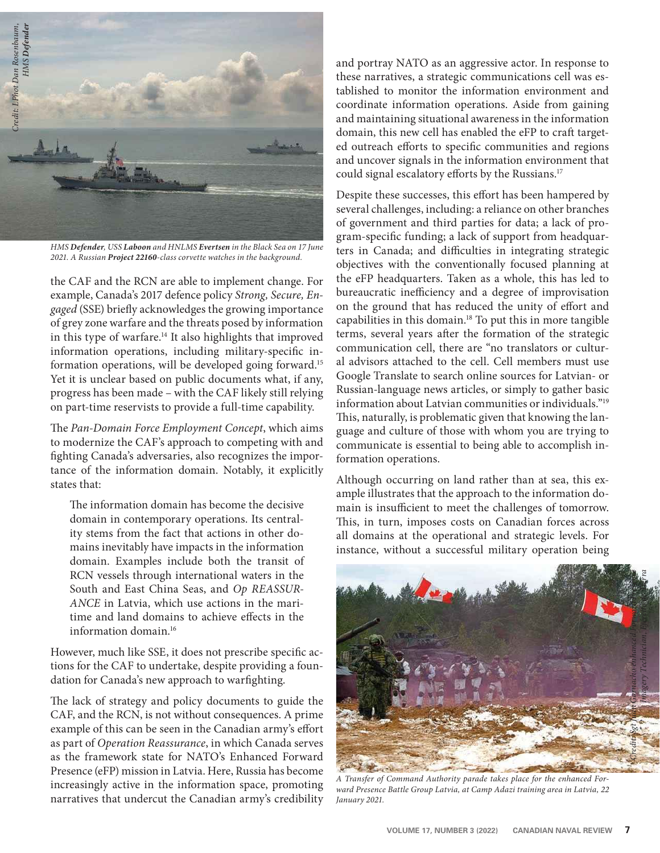

*HMS Defender, USS Laboon and HNLMS Evertsen in the Black Sea on 17 June 2021. A Russian Project 22160-class corvette watches in the background.*

the CAF and the RCN are able to implement change. For example, Canada's 2017 defence policy *Strong, Secure, En*gaged (SSE) briefly acknowledges the growing importance of grey zone warfare and the threats posed by information in this type of warfare.<sup>14</sup> It also highlights that improved information operations, including military-specific information operations, will be developed going forward.15 Yet it is unclear based on public documents what, if any, progress has been made – with the CAF likely still relying on part-time reservists to provide a full-time capability.

The *Pan-Domain Force Employment Concept*, which aims to modernize the CAF's approach to competing with and fighting Canada's adversaries, also recognizes the importance of the information domain. Notably, it explicitly states that:

The information domain has become the decisive domain in contemporary operations. Its centrality stems from the fact that actions in other domains inevitably have impacts in the information domain. Examples include both the transit of RCN vessels through international waters in the South and East China Seas, and *Op REASSUR-ANCE* in Latvia, which use actions in the maritime and land domains to achieve effects in the information domain.16

However, much like SSE, it does not prescribe specific actions for the CAF to undertake, despite providing a foundation for Canada's new approach to warfighting.

The lack of strategy and policy documents to guide the CAF, and the RCN, is not without consequences. A prime example of this can be seen in the Canadian army's effort as part of *Operation Reassurance*, in which Canada serves as the framework state for NATO's Enhanced Forward Presence (eFP) mission in Latvia. Here, Russia has become increasingly active in the information space, promoting narratives that undercut the Canadian army's credibility and portray NATO as an aggressive actor. In response to these narratives, a strategic communications cell was established to monitor the information environment and coordinate information operations. Aside from gaining and maintaining situational awareness in the information domain, this new cell has enabled the eFP to craft targeted outreach efforts to specific communities and regions and uncover signals in the information environment that could signal escalatory efforts by the Russians.<sup>17</sup>

Despite these successes, this effort has been hampered by several challenges, including: a reliance on other branches of government and third parties for data; a lack of program-specific funding; a lack of support from headquarters in Canada; and difficulties in integrating strategic objectives with the conventionally focused planning at the eFP headquarters. Taken as a whole, this has led to bureaucratic inefficiency and a degree of improvisation on the ground that has reduced the unity of effort and capabilities in this domain.18 To put this in more tangible terms, several years after the formation of the strategic communication cell, there are "no translators or cultural advisors attached to the cell. Cell members must use Google Translate to search online sources for Latvian- or Russian-language news articles, or simply to gather basic information about Latvian communities or individuals."19 This, naturally, is problematic given that knowing the language and culture of those with whom you are trying to communicate is essential to being able to accomplish information operations.

Although occurring on land rather than at sea, this example illustrates that the approach to the information domain is insufficient to meet the challenges of tomorrow. This, in turn, imposes costs on Canadian forces across all domains at the operational and strategic levels. For instance, without a successful military operation being



*A Transfer of Command Authority parade takes place for the enhanced Forward Presence Battle Group Latvia, at Camp Adazi training area in Latvia, 22 January 2021.*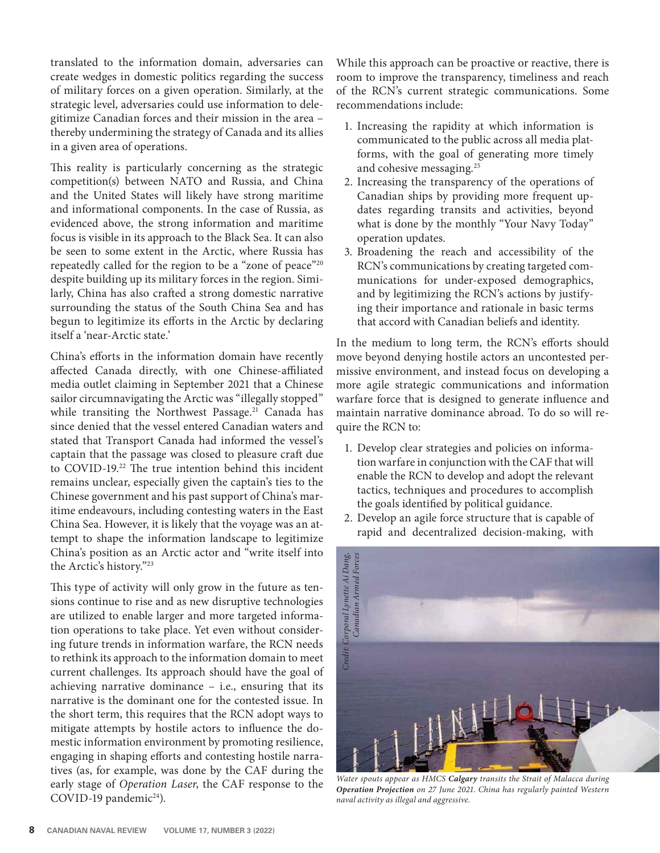translated to the information domain, adversaries can create wedges in domestic politics regarding the success of military forces on a given operation. Similarly, at the strategic level, adversaries could use information to delegitimize Canadian forces and their mission in the area – thereby undermining the strategy of Canada and its allies in a given area of operations.

This reality is particularly concerning as the strategic competition(s) between NATO and Russia, and China and the United States will likely have strong maritime and informational components. In the case of Russia, as evidenced above, the strong information and maritime focus is visible in its approach to the Black Sea. It can also be seen to some extent in the Arctic, where Russia has repeatedly called for the region to be a "zone of peace"20 despite building up its military forces in the region. Similarly, China has also crafted a strong domestic narrative surrounding the status of the South China Sea and has begun to legitimize its efforts in the Arctic by declaring itself a 'near-Arctic state.'

China's efforts in the information domain have recently affected Canada directly, with one Chinese-affiliated media outlet claiming in September 2021 that a Chinese sailor circumnavigating the Arctic was "illegally stopped" while transiting the Northwest Passage.<sup>21</sup> Canada has since denied that the vessel entered Canadian waters and stated that Transport Canada had informed the vessel's captain that the passage was closed to pleasure craft due to COVID-19.<sup>22</sup> The true intention behind this incident remains unclear, especially given the captain's ties to the Chinese government and his past support of China's maritime endeavours, including contesting waters in the East China Sea. However, it is likely that the voyage was an attempt to shape the information landscape to legitimize China's position as an Arctic actor and "write itself into the Arctic's history."23

This type of activity will only grow in the future as tensions continue to rise and as new disruptive technologies are utilized to enable larger and more targeted information operations to take place. Yet even without considering future trends in information warfare, the RCN needs to rethink its approach to the information domain to meet current challenges. Its approach should have the goal of achieving narrative dominance – i.e., ensuring that its narrative is the dominant one for the contested issue. In the short term, this requires that the RCN adopt ways to mitigate attempts by hostile actors to influence the domestic information environment by promoting resilience, engaging in shaping efforts and contesting hostile narratives (as, for example, was done by the CAF during the early stage of *Operation Laser*, the CAF response to the COVID-19 pandemic<sup>24</sup>).

While this approach can be proactive or reactive, there is room to improve the transparency, timeliness and reach of the RCN's current strategic communications. Some recommendations include:

- 1. Increasing the rapidity at which information is communicated to the public across all media platforms, with the goal of generating more timely and cohesive messaging.25
- 2. Increasing the transparency of the operations of Canadian ships by providing more frequent updates regarding transits and activities, beyond what is done by the monthly "Your Navy Today" operation updates.
- 3. Broadening the reach and accessibility of the RCN's communications by creating targeted communications for under-exposed demographics, and by legitimizing the RCN's actions by justifying their importance and rationale in basic terms that accord with Canadian beliefs and identity.

In the medium to long term, the RCN's efforts should move beyond denying hostile actors an uncontested permissive environment, and instead focus on developing a more agile strategic communications and information warfare force that is designed to generate influence and maintain narrative dominance abroad. To do so will require the RCN to:

- 1. Develop clear strategies and policies on information warfare in conjunction with the CAF that will enable the RCN to develop and adopt the relevant tactics, techniques and procedures to accomplish the goals identified by political guidance.
- 2. Develop an agile force structure that is capable of rapid and decentralized decision-making, with



*Water spouts appear as HMCS Calgary transits the Strait of Malacca during Operation Projection on 27 June 2021. China has regularly painted Western*